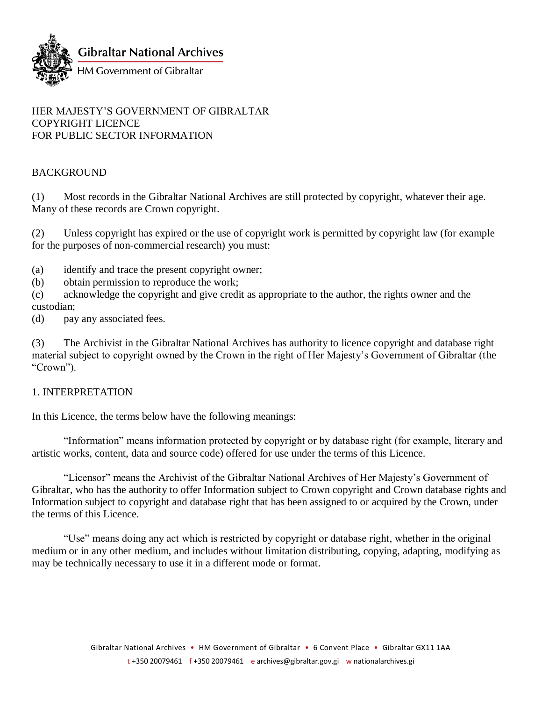

#### HER MAJESTY'S GOVERNMENT OF GIBRALTAR COPYRIGHT LICENCE FOR PUBLIC SECTOR INFORMATION

# BACKGROUND

(1) Most records in the Gibraltar National Archives are still protected by copyright, whatever their age. Many of these records are Crown copyright.

(2) Unless copyright has expired or the use of copyright work is permitted by copyright law (for example for the purposes of non-commercial research) you must:

(a) identify and trace the present copyright owner;

(b) obtain permission to reproduce the work;

(c) acknowledge the copyright and give credit as appropriate to the author, the rights owner and the custodian;

(d) pay any associated fees.

(3) The Archivist in the Gibraltar National Archives has authority to licence copyright and database right material subject to copyright owned by the Crown in the right of Her Majesty's Government of Gibraltar (the "Crown").

### 1. INTERPRETATION

In this Licence, the terms below have the following meanings:

"Information" means information protected by copyright or by database right (for example, literary and artistic works, content, data and source code) offered for use under the terms of this Licence.

"Licensor" means the Archivist of the Gibraltar National Archives of Her Majesty's Government of Gibraltar, who has the authority to offer Information subject to Crown copyright and Crown database rights and Information subject to copyright and database right that has been assigned to or acquired by the Crown, under the terms of this Licence.

"Use" means doing any act which is restricted by copyright or database right, whether in the original medium or in any other medium, and includes without limitation distributing, copying, adapting, modifying as may be technically necessary to use it in a different mode or format.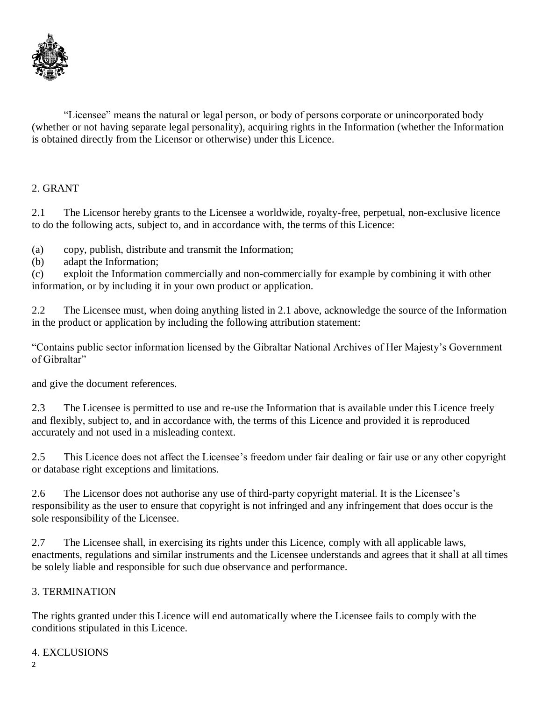

"Licensee" means the natural or legal person, or body of persons corporate or unincorporated body (whether or not having separate legal personality), acquiring rights in the Information (whether the Information is obtained directly from the Licensor or otherwise) under this Licence.

### 2. GRANT

2.1 The Licensor hereby grants to the Licensee a worldwide, royalty-free, perpetual, non-exclusive licence to do the following acts, subject to, and in accordance with, the terms of this Licence:

(a) copy, publish, distribute and transmit the Information;

(b) adapt the Information;

(c) exploit the Information commercially and non-commercially for example by combining it with other information, or by including it in your own product or application.

2.2 The Licensee must, when doing anything listed in 2.1 above, acknowledge the source of the Information in the product or application by including the following attribution statement:

"Contains public sector information licensed by the Gibraltar National Archives of Her Majesty's Government of Gibraltar"

and give the document references.

2.3 The Licensee is permitted to use and re-use the Information that is available under this Licence freely and flexibly, subject to, and in accordance with, the terms of this Licence and provided it is reproduced accurately and not used in a misleading context.

2.5 This Licence does not affect the Licensee's freedom under fair dealing or fair use or any other copyright or database right exceptions and limitations.

2.6 The Licensor does not authorise any use of third-party copyright material. It is the Licensee's responsibility as the user to ensure that copyright is not infringed and any infringement that does occur is the sole responsibility of the Licensee.

2.7 The Licensee shall, in exercising its rights under this Licence, comply with all applicable laws, enactments, regulations and similar instruments and the Licensee understands and agrees that it shall at all times be solely liable and responsible for such due observance and performance.

# 3. TERMINATION

The rights granted under this Licence will end automatically where the Licensee fails to comply with the conditions stipulated in this Licence.

# 4. EXCLUSIONS